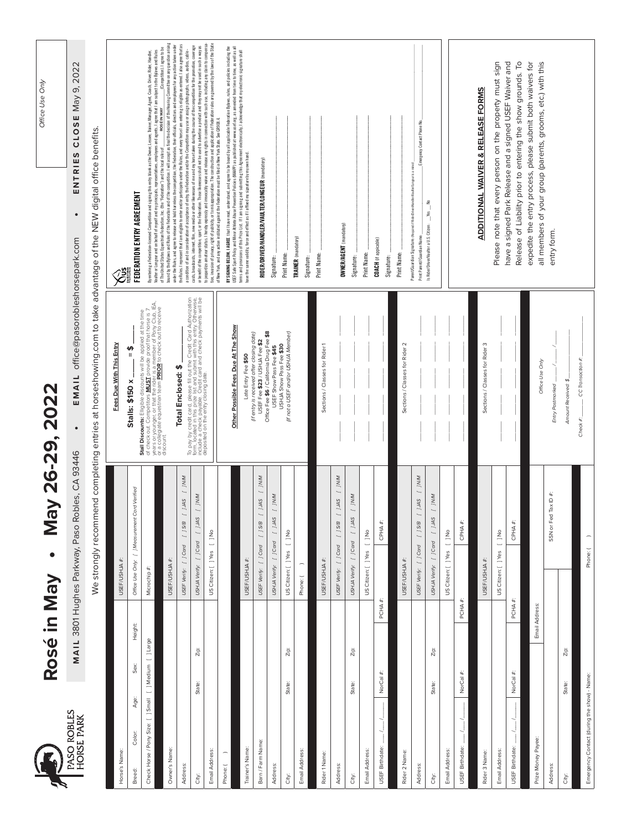|                                             | Rosé in May          | $\bullet$                                                         | <b>22</b><br>May 26-29, 20                                                                                                                                                                                                                   | Office Use Only                                                                                                                                                                                                                                                                                                                                                                                                                                            |
|---------------------------------------------|----------------------|-------------------------------------------------------------------|----------------------------------------------------------------------------------------------------------------------------------------------------------------------------------------------------------------------------------------------|------------------------------------------------------------------------------------------------------------------------------------------------------------------------------------------------------------------------------------------------------------------------------------------------------------------------------------------------------------------------------------------------------------------------------------------------------------|
| PASO ROBLES<br>HORSE PARK                   |                      | MAIL 3801 Hughes Parkway, Paso Robles, CA 93446                   | EMAIL office@pasorobleshorsepark.com                                                                                                                                                                                                         | CLOSE May 9, 2022<br>ENTRIES<br>$\bullet$                                                                                                                                                                                                                                                                                                                                                                                                                  |
|                                             |                      | We strongly recommend completing entries at                       |                                                                                                                                                                                                                                              | horseshowing.com to take advantage of the NEW digital office benefits.                                                                                                                                                                                                                                                                                                                                                                                     |
| Horse's Name:                               |                      | USEF/USHJA #:                                                     | Fees Due With This Entry                                                                                                                                                                                                                     | $\hat{\tilde{c}}$                                                                                                                                                                                                                                                                                                                                                                                                                                          |
| Age:<br>Color:<br>Breed:                    | Height:<br>Sex:      | Office Use Only: [ ] Measurement Card Verified                    | မာ<br>။<br>$\sin 2x$<br><b>Stall</b>                                                                                                                                                                                                         | FEDERATION ENTRY AGREEMENT                                                                                                                                                                                                                                                                                                                                                                                                                                 |
| Check Horse / Pony Size: [ ] Small          | [ ] Medium [ ] Large | Microchip #:                                                      | Stall Discounts: Elligible discounts will be applied at the time<br>years or you. Competitors <u>MUSE</u> provide proof that horse is, EA,<br>or a collegiate equestivan team PRIOR to check out to receive<br>or a collegiate equestivan te | By entering a Federation-licensed Competition and signing this entry blank as the Owner, Lessee, Trainer, Manager, Agent, Coach, Driver, Rider, Handler,<br>Yaulter or Longeur and on behalf of myself and my principals, representatives, employees and agents, lagree that I am subject to the Bylews and Rules<br>of The United States Equestion Federation, Inc. (the "Federation") and t                                                              |
| Owner's Name:                               |                      | USEF/USHJA #:                                                     |                                                                                                                                                                                                                                              | bound by the Bylaws and Rules of the Federation and of the competition. I will accept as final the decision of the Hearing Committee on any question arising<br>under the Rules, and agree to release and hold harmless the competition, the Federation, their officials, directors and employees for any action taken under<br>(Competition). I agree to be<br>of The United States Equestrian Federation, Inc. (the "Federation") and the local rules of |
| Address:                                    |                      | WW1 J<br>SWL 1<br>[ ] S/B<br>USEF Verify: [ ] Card                | Total Enclosed: \$                                                                                                                                                                                                                           | the Rules. I represent that I am eligible to enter and/or participate under the Rules, and every horse I am entering is eligible as entered. I also agree that as<br>a condition of and in consideration of acceptance of entry, the Federation and/or the Competition may use or assign photographs, videos, audios, cable -                                                                                                                              |
| City:                                       | Zip:<br>State:       | WW1 ]<br>SWL ]<br>USHJA Verify: [ ] Card                          | To pay by credit card, please fill out the Credit Card Authorization<br>form, located in this pinze list and submit with this entry. Otherwise,<br>deposited on the entry closing date:                                                      | or benefit of the competition, sport or the Federation. Those likenesses shall not be used to advertise a product and they may not be used in such a way as<br>To jargardize amateur status. I hereby expressly and irrevocably w<br>casts, broadcasts, internet, fim, new media or other likenesses of me and my horse taken during the course of the competition for the promotion, coverage                                                             |
| Email Address:                              |                      | US Citizen: [ ] Yes [ ] No                                        |                                                                                                                                                                                                                                              | tion, invasion of privacy, right of publicity, or to misappropriation. The construction and application of Federation rules are governed by the laws of the State                                                                                                                                                                                                                                                                                          |
| $\overline{\phantom{0}}$<br>Phone: (        |                      |                                                                   | Possible Fees Due At The Show<br>Other                                                                                                                                                                                                       | USEF Safe Sport Policy and Minor Athlete Abuse Prevention Policies (MAAPP) as published at www.usef.org, as a mended from time to time, as well as all<br>BY SIGNING BELOW, I AGREE that I have read, understand, and agree to be bound by all applicable Federation Bylaws, rules, and policies including the<br>of New York, and any action instituted against the Federation must be filed in New York State. See GR908.4.                              |
| Trainer's Name:                             |                      | USEF/USHJA #:                                                     | Late Entry Fee \$50                                                                                                                                                                                                                          | terms and provisions of this Prize List. If I am signing and submitting this Agreement electronically, I acknowledge that my electronic signature shall<br>have the same validity, force and effect as if I affixed my signature by my own hand.                                                                                                                                                                                                           |
| Barn / Farm Name:                           |                      | WM J<br>SWL ]<br>[ ] S/B<br>$[$ $]$ Card<br>USEF Verify:          | (if entry is received after closing date)<br>USEF Fee \$23 / USHJA Fee \$2                                                                                                                                                                   | RIDER/DRIVER/HANDLER/VAULTER/LONGEUR (mandatory)                                                                                                                                                                                                                                                                                                                                                                                                           |
| <b>Address:</b>                             |                      | 10M<br>SWT[]<br>$[$ $]$ Card<br>USHJA Verify:                     | Office Fee \$6 / California Drug Fee \$8<br>USEF Show Pass Fee \$45                                                                                                                                                                          | Signature:                                                                                                                                                                                                                                                                                                                                                                                                                                                 |
| City:                                       | Zip:<br>State:       | $\frac{1}{2}$<br>US Citizen: [ ] Yes                              | (if not a USEF and/or USHJA Member)<br>USHJA Show Pass Fee \$30                                                                                                                                                                              | Print Name:                                                                                                                                                                                                                                                                                                                                                                                                                                                |
| Email Address:                              |                      | $\overline{\phantom{a}}$<br>Phone: (                              |                                                                                                                                                                                                                                              | TRAINER (mandatory)<br>Signature:                                                                                                                                                                                                                                                                                                                                                                                                                          |
| Rider 1 Name:                               |                      | USEF/USHJA #:                                                     | Sections / Classes for Rider 1                                                                                                                                                                                                               | Print Name:                                                                                                                                                                                                                                                                                                                                                                                                                                                |
| Address:                                    |                      | WW1 ]<br>SWL ]<br>E/S ]<br>USEF Verify: [ ] Card                  |                                                                                                                                                                                                                                              | <b>OWNER/AGENT</b> (mandatory)                                                                                                                                                                                                                                                                                                                                                                                                                             |
| City:                                       | Zip:<br>State:       | WW1 ]<br>SWT I<br>USHJA Verify: [ ] Card                          |                                                                                                                                                                                                                                              | Signature:                                                                                                                                                                                                                                                                                                                                                                                                                                                 |
| Email Address:                              |                      | $\frac{1}{2}$<br>US Citizen: [ ] Yes                              |                                                                                                                                                                                                                                              | Print Name:                                                                                                                                                                                                                                                                                                                                                                                                                                                |
| USEF Birthdate:                             | PCHA #:<br>NorCal #: | #:<br>CPHA;                                                       |                                                                                                                                                                                                                                              | <b>COACH</b> (if appicable)<br>Signature:                                                                                                                                                                                                                                                                                                                                                                                                                  |
| Rider 2 Name:                               |                      | USEF/USHJA #:                                                     | Sections / Classes for Rider 2                                                                                                                                                                                                               | Print Name:                                                                                                                                                                                                                                                                                                                                                                                                                                                |
| Address:                                    |                      | N/M<br>1JAS<br>E/S [ ]<br>USEF Verify: [ ] Card                   |                                                                                                                                                                                                                                              | Emergency Contact Phone No<br>Parent/Guardian Signature: (Required if Rider/Driver/Handler/Vaulter/Longeur is a mi<br>Print Parent//Guardian Name                                                                                                                                                                                                                                                                                                          |
| City:                                       | Zip:<br>State:       | $[$ $]$ NM<br>SVT [ ]<br>$[$ $]$ Card<br>USHJA Verify:            |                                                                                                                                                                                                                                              | £,<br>$-$ Yes<br>Is Rider/Driver/Vaulter a U.S. Citizen:                                                                                                                                                                                                                                                                                                                                                                                                   |
| Email Address:                              |                      | $\frac{1}{2}$<br>US Citizen: [ ] Yes                              |                                                                                                                                                                                                                                              |                                                                                                                                                                                                                                                                                                                                                                                                                                                            |
| USEF Birthdate:                             | PCHA #:<br>NorCal #: | CPHA #:                                                           |                                                                                                                                                                                                                                              |                                                                                                                                                                                                                                                                                                                                                                                                                                                            |
| Rider 3 Name:                               |                      | USEF/USHJA #:                                                     | Sections / Classes for Rider 3                                                                                                                                                                                                               | ADDITIONAL WAIVER & RELEASE FORMS                                                                                                                                                                                                                                                                                                                                                                                                                          |
| Email Address:                              |                      | $\frac{6}{10}$<br>$\overline{\phantom{0}}$<br>US Citizen: [ ] Yes |                                                                                                                                                                                                                                              | Please note that every person on the property must sign                                                                                                                                                                                                                                                                                                                                                                                                    |
| USEF Birthdate:                             | PCHA #:<br>NorCal #: | CPHA #:                                                           |                                                                                                                                                                                                                                              | have a signed Park Release and a signed USEF Waiver and<br>Release of Liability prior to entering the show grounds. To                                                                                                                                                                                                                                                                                                                                     |
| Prize Money Payee:                          | Email Address:       |                                                                   | Office Use Only                                                                                                                                                                                                                              | expedite the entry process, please submit both waivers for                                                                                                                                                                                                                                                                                                                                                                                                 |
| Address:                                    |                      | SSN or Fed Tax ID #:                                              | Postmarked<br>Entry                                                                                                                                                                                                                          | all members of your group (parents, grooms, etc.) with this<br>entry form.                                                                                                                                                                                                                                                                                                                                                                                 |
| City:                                       | Zip:<br>State:       |                                                                   | Amount Received: \$                                                                                                                                                                                                                          |                                                                                                                                                                                                                                                                                                                                                                                                                                                            |
| Emergency Contact (during the show) - Name: |                      | $\overline{a}$<br>Phone: (                                        | CC Transaction #:<br>Check $A^*$                                                                                                                                                                                                             |                                                                                                                                                                                                                                                                                                                                                                                                                                                            |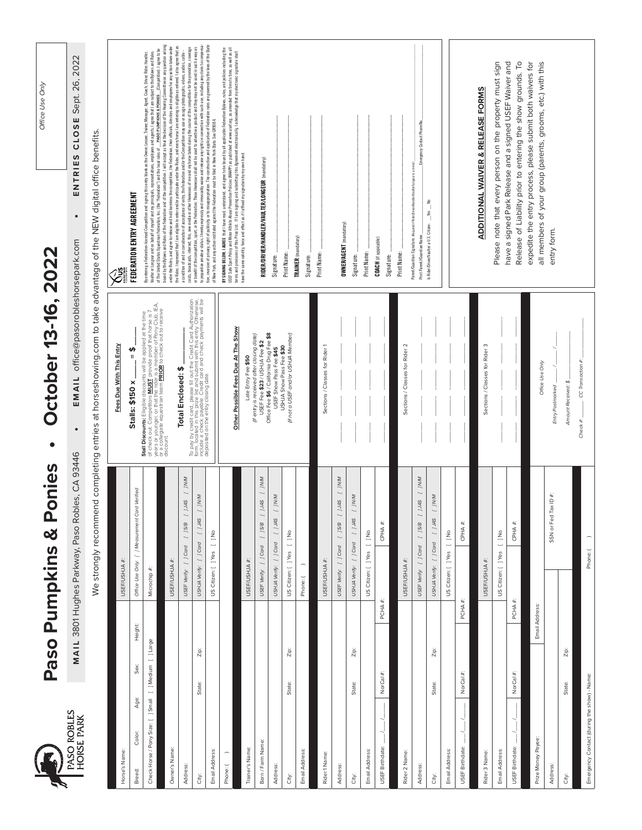|                                             |                                | Paso Pumpkins & Ponies                                         | ctober 13-16, 2022<br>$\mathbf O$<br>$\bullet$                                                                                                                                                                                          | Office Use Only                                                                                                                                                                                                                                                                                                                                                                                                                                                                           |
|---------------------------------------------|--------------------------------|----------------------------------------------------------------|-----------------------------------------------------------------------------------------------------------------------------------------------------------------------------------------------------------------------------------------|-------------------------------------------------------------------------------------------------------------------------------------------------------------------------------------------------------------------------------------------------------------------------------------------------------------------------------------------------------------------------------------------------------------------------------------------------------------------------------------------|
| PASO ROBLES<br>HORSE PARK                   |                                | MAIL 3801 Hughes Parkway, Paso Robles, CA 93446                | EMAIL office@pasorobleshorsepark.com<br>$\bullet$                                                                                                                                                                                       | Sept. 26, 2022<br>CLOSE<br>ENTRIES<br>$\bullet$                                                                                                                                                                                                                                                                                                                                                                                                                                           |
|                                             |                                | We strongly recommend completing entries at                    |                                                                                                                                                                                                                                         | horseshowing.com to take advantage of the NEW digital office benefits                                                                                                                                                                                                                                                                                                                                                                                                                     |
|                                             |                                |                                                                | Fees Due With This Entry                                                                                                                                                                                                                |                                                                                                                                                                                                                                                                                                                                                                                                                                                                                           |
| Horse's Name:                               |                                | USEF/USHJA#                                                    | \$<br>$s:$ \$150 x<br><b>Stall</b>                                                                                                                                                                                                      |                                                                                                                                                                                                                                                                                                                                                                                                                                                                                           |
| Age:<br>Color:<br>Breed:                    | Height:<br>Sex:                | Office Use Only: [ ] Measurement Card Verified                 |                                                                                                                                                                                                                                         | FEDERATION ENTRY AGREEMENT                                                                                                                                                                                                                                                                                                                                                                                                                                                                |
| Check Horse / Pony Size: [ ] Small          | [ ]Medium [ ]Large             | Microchip #:                                                   | Stall Discounts: Elligible discounts will be applied at the time<br>years of your Competitors MUST, provide proof the hoose is, [A]<br>years of young and the state of the provide proof the hoose is, [A]<br>or a collegiate equestria | Vaulte or Longeur and on betal of mysel and my principals, representatives, employees and agents. I agree that Jam subject to the Bylaws and Rules<br>of The United States Equestion Federation, Inc. (the Federation") and the l<br>By entering a Federation-licensed Competition and signing this entry blank as the Owner, Lessee, Trainer, Manager, Agent, Coach, Driver, Rider, Handler,                                                                                             |
| Owner's Name:                               |                                | USEF/USHJA #:                                                  |                                                                                                                                                                                                                                         | bound by the Bylaws and Rules of the Federation and of the competition. I will accept as final the decision of the Hearing Committee on any question arising<br>under the Rules, and agree to release and hold harmless the competition, the Federation, their officials, directors and employees for any action taken under                                                                                                                                                              |
| Address                                     |                                | $N$ / $\sim$<br>SVT[]<br>E/S/1<br>USEF Verify: [ ] Card        | Total Enclosed: \$                                                                                                                                                                                                                      | the Rules. I represent that I am eligible to enter and/or participate under the Rules, and every horse I am entering is eligible as entered. I also agree that as<br>casts, broadcasts, internet, film, new media or other likenesses of me and my horse taken during the course of the competition for the promotion, coverage<br>a condition of and in consideration of acceptance of entry, the Federation and/or the Competition may use or assign photographs, videos, audios, cable |
| City:                                       | Zip:<br>State:                 | WW1 J<br>$SWT \vert$<br>$[$ $]$ Card<br>USHJA Verify:          | To pay by credit card, please fill out the Credit Card Authorization<br>form, located in this pinze list and submit with this entry. Otherwise,<br>deposited on the entry closing date.                                                 | to jeopardize amateur status. Thereby expressly and irrevocably waive and release any rights in connection with such use, including any claim to compensa-<br>or benefit of the competition, sport, or the Federation. Those likenesses shall not be used to advertise a product and they may not be used in such a way as                                                                                                                                                                |
| Email Address:                              |                                | US Citizen: [ ] Yes [ ] No                                     |                                                                                                                                                                                                                                         | tion, invasion of privacy, right of publicity, or to misapporpiation. The construction and application of extendion rules are governed by the laws of the State<br>of New York, and any action instituted against the Federation                                                                                                                                                                                                                                                          |
| $\overline{\phantom{0}}$<br>Phone: (        |                                |                                                                | Possible Fees Due At The Show<br>Other                                                                                                                                                                                                  | <b>RYSIGNING ELOW, I AGREE</b> that I have east, understand, and argee to be bond by all inplicable federation Sphen, news, news, and points including the<br>LISES and Sport Series and Market I am submanized and the product of the                                                                                                                                                                                                                                                    |
| Trainer's Name:                             |                                | USEF/USHJA #:                                                  | Late Entry Fee \$50                                                                                                                                                                                                                     | have the same validity, force and effect as if I affixed my signature by my own hand.                                                                                                                                                                                                                                                                                                                                                                                                     |
| Barn / Farm Name:                           |                                | N/M<br>SW[ ] B/S [ ]<br>USEF Verify: [ ] Card                  | (if entry is received after closing date)<br>USEF Fee \$23 / USHJA Fee \$2                                                                                                                                                              | RIDER/DRIVER/HANDLER/VAULTER/LONGEUR (mandatory)                                                                                                                                                                                                                                                                                                                                                                                                                                          |
| Address                                     |                                | WN1 1<br>USHJA Verify: [ ] Card [ ] JAS                        | Office Fee \$6 / California Drug Fee \$8<br>USEF Show Pass Fee \$45                                                                                                                                                                     | Signature:                                                                                                                                                                                                                                                                                                                                                                                                                                                                                |
| City:                                       | Zip:<br>State:                 | US Citizen: [ ] Yes [ ] No                                     | (if not a USEF and/or USHJA Member)<br>USHJA Show Pass Fee \$30                                                                                                                                                                         | Print Name:                                                                                                                                                                                                                                                                                                                                                                                                                                                                               |
| Email Address:                              |                                | Phone: (                                                       |                                                                                                                                                                                                                                         | TRAINER (mandatory)<br>Signature:                                                                                                                                                                                                                                                                                                                                                                                                                                                         |
| Rider 1 Name:                               |                                | USEF/USHJA #:                                                  | Sections / Classes for Rider 1                                                                                                                                                                                                          | Print Name:                                                                                                                                                                                                                                                                                                                                                                                                                                                                               |
|                                             |                                |                                                                |                                                                                                                                                                                                                                         |                                                                                                                                                                                                                                                                                                                                                                                                                                                                                           |
| Address:                                    |                                | WW1 ]<br>2045<br>$[$ $]$ $S/B$<br>$[$ $]$ Card<br>USEF Verify: |                                                                                                                                                                                                                                         | <b>OWNER/AGENT</b> (mandatory)                                                                                                                                                                                                                                                                                                                                                                                                                                                            |
| City:                                       | Zip:<br>State:                 | WNI J<br>SWT<br>$[$ $]$ Card<br>USHJA Verify:                  |                                                                                                                                                                                                                                         | Signature:                                                                                                                                                                                                                                                                                                                                                                                                                                                                                |
| Email Address:                              |                                | oquí 1<br>US Citizen: [ ] Yes                                  |                                                                                                                                                                                                                                         | Print Name:                                                                                                                                                                                                                                                                                                                                                                                                                                                                               |
| USEF Birthdate:                             | PCHA #:<br>NorCal #:           | CPHA#                                                          |                                                                                                                                                                                                                                         | <b>COACH</b> (if appicable)<br>Signature:                                                                                                                                                                                                                                                                                                                                                                                                                                                 |
| Rider 2 Name:                               |                                | USEF/USHJA #:                                                  | Sections / Classes for Rider 2                                                                                                                                                                                                          | Print Name:                                                                                                                                                                                                                                                                                                                                                                                                                                                                               |
| Address                                     |                                | WWL ]<br>SVT 1<br>[ ] S/B<br>USEF Verify: [ ] Card             |                                                                                                                                                                                                                                         | Emergency Contact Phone No.<br>Parent/Guardian Signature: (Required if Rider/Drive/Handler/Vaulter/Longeur is a minor)<br>Print Parent//Guardian Name:                                                                                                                                                                                                                                                                                                                                    |
| City:                                       | Zip:<br>State:                 | WW1 ]<br>SWT[]<br>USHJA Verify: [ ] Card                       |                                                                                                                                                                                                                                         | £<br>$-$ <sup>Yes</sup><br>Is Rider/Driver/Vaulter a U.S. Citizen:                                                                                                                                                                                                                                                                                                                                                                                                                        |
| Email Address:                              |                                | l JNo<br>US Citizen: [ ] Yes                                   |                                                                                                                                                                                                                                         |                                                                                                                                                                                                                                                                                                                                                                                                                                                                                           |
| USEF Birthdate:                             | PCHA.<br>#<br><b>NorCal</b>    | CPHA#<br>#                                                     |                                                                                                                                                                                                                                         |                                                                                                                                                                                                                                                                                                                                                                                                                                                                                           |
| Rider 3 Name:                               |                                | USEF/USHJA #:                                                  | Sections / Classes for Rider 3                                                                                                                                                                                                          | ADDITIONAL WAIVER & RELEASE FORMS                                                                                                                                                                                                                                                                                                                                                                                                                                                         |
| Email Address                               |                                | $\frac{1}{2}$<br>US Citizen: [ ] Yes                           |                                                                                                                                                                                                                                         | Please note that every person on the property must sign                                                                                                                                                                                                                                                                                                                                                                                                                                   |
| $\overline{\phantom{0}}$<br>USEF Birthdate: | PCHA <sup>3</sup><br>NorCal #: | CPHA #:                                                        |                                                                                                                                                                                                                                         | $\overline{C}$<br>have a signed Park Release and a signed USEF Waiver and<br>Release of Liability prior to entering the show grounds.                                                                                                                                                                                                                                                                                                                                                     |
| Prize Money Payee:                          | Email Address:                 |                                                                |                                                                                                                                                                                                                                         | expedite the entry process, please submit both waivers for                                                                                                                                                                                                                                                                                                                                                                                                                                |
| <b>Address:</b>                             |                                | SSN or Fed Tax ID #:                                           | Office Use Only                                                                                                                                                                                                                         | all members of your group (parents, grooms, etc.) with this                                                                                                                                                                                                                                                                                                                                                                                                                               |
| City:                                       | $\mathsf{Zip}$<br>State:       |                                                                | Amount Received: \$<br>Postmarked<br>Entry                                                                                                                                                                                              | entry form.                                                                                                                                                                                                                                                                                                                                                                                                                                                                               |
|                                             |                                |                                                                | CC Transaction #:<br>Check #:_                                                                                                                                                                                                          |                                                                                                                                                                                                                                                                                                                                                                                                                                                                                           |
| Emergency Contact (during the show) - Name: |                                | Phone: (                                                       |                                                                                                                                                                                                                                         |                                                                                                                                                                                                                                                                                                                                                                                                                                                                                           |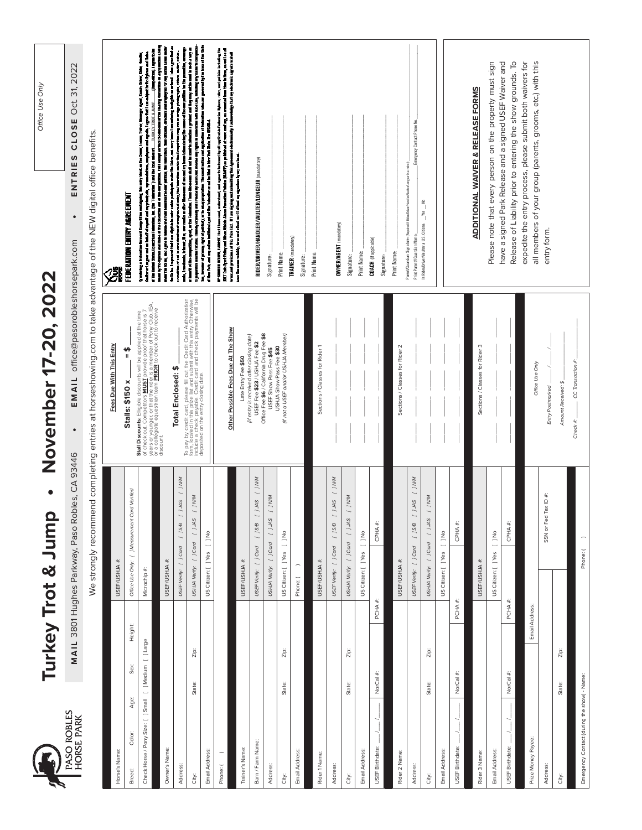|                                             |                      | Turkey Trot & Jump               | $\bullet$                                       | ber 17-20, 2022<br>Novem                                                                                                                                                                                                                                | Office Use Only                                                                                                                                                                                                                                                                                                                                                                          |
|---------------------------------------------|----------------------|----------------------------------|-------------------------------------------------|---------------------------------------------------------------------------------------------------------------------------------------------------------------------------------------------------------------------------------------------------------|------------------------------------------------------------------------------------------------------------------------------------------------------------------------------------------------------------------------------------------------------------------------------------------------------------------------------------------------------------------------------------------|
| PASO ROBLES<br>HORSE PARK                   |                      |                                  | MAIL 3801 Hughes Parkway, Paso Robles, CA 93446 | EMAIL office@pasorobleshorsepark.com<br>$\bullet$                                                                                                                                                                                                       | Oct. 31, 2022<br>CLOSE<br>ENTRIES<br>$\bullet$                                                                                                                                                                                                                                                                                                                                           |
|                                             |                      |                                  | We strongly recommend completing entries at     |                                                                                                                                                                                                                                                         | horseshowing.com to take advantage of the NEW digital office benefits.                                                                                                                                                                                                                                                                                                                   |
| Horse's Name:                               |                      | USEF/USHJA #:                    |                                                 | Fees Due With This Entry                                                                                                                                                                                                                                |                                                                                                                                                                                                                                                                                                                                                                                          |
| Age:<br>Color:<br>Breed:                    | Height:<br>Sex:      |                                  | Office Use Only: [ ] Measurement Card Verified  | \$<br>Stalls: \$150 x                                                                                                                                                                                                                                   | FEDERATION ENTRY AGREEMENT                                                                                                                                                                                                                                                                                                                                                               |
| Check Horse / Pony Size: [ ] Small          | [ ] Medium [ ] Large | Microchip #:                     |                                                 | Stall Discounts: Elligible discounts will be applied at the time<br>of chs or you. Competitors <u>MUST</u> provide proof the horse is p.<br>or a collegiate equestinan team <mark>PRIOR</mark> to check out to receive<br>or a collegiate equestinan te | Valto e Lugor art a bat el myst sel ny piagón, symmetrica, mytoma est gech, i gyo fel i sa aiget trio bytos ar<br>af la light Stars (américa Fancial, la: Par Tabaian) a situat de las restaurantes (américa de la light de la l<br><br>anh, Driver, Kalim, H<br>specifies and impairing this entry blank as the Chease, Leoner, Trainer, Blamper, Agnet, De<br>By mining a federation & |
| Owner's Name:                               |                      | USEF/USHJA #:                    |                                                 |                                                                                                                                                                                                                                                         | rt that i an digible to only a subsigned to the Roles, and wory have i an unimity is nighting as intend. I show that as<br>the Reins, I region                                                                                                                                                                                                                                           |
| Address:                                    |                      | USEF Verify: [ ] Card            | WW1 ]<br>SWT[]<br>[ ] S/B                       | Total Enclosed: \$                                                                                                                                                                                                                                      | í                                                                                                                                                                                                                                                                                                                                                                                        |
| City:                                       | $Z$ ip:<br>State:    | $[$ $]$ Card<br>USHJA Verify:    | WWL ]<br>SWT                                    | To pay by credit card, please fill out the Credit Card Authorization<br>form, located in this pinze list and submit with this entry. Otherwise,<br>deposited on the entry closing dated<br>deposited on the entry closing dated                         | alina el su i consisteix el conjunto dels jústicarias antichio Compilia eny una estaj planguja, visto, más, es<br>A tentami è les 4 a en una resta discussa de cos en plana bas despita consolito en plana i la participa en un<br>a                                                                                                                                                     |
| Email Address:                              |                      | US Citizen: [ ]Yes [ ]No         |                                                 |                                                                                                                                                                                                                                                         | of New York, and any soldier incident of the following meet in final in New York State. See 69500s.A.<br>Æ                                                                                                                                                                                                                                                                               |
| Phone:                                      |                      |                                  |                                                 | Possible Fees Due At The Show<br>Other                                                                                                                                                                                                                  | RTSBNIN 1831R, I ABBET their host, ministrast, and spots in local by all replocies focusion folcos, mix, and plains including the<br>IBBE Sols Spot Pring and Host Abbet Jacob Provedom Princip as published reversed any, co-mar                                                                                                                                                        |
| Trainer's Name:                             |                      | USEF/USHJA #:                    |                                                 | Late Entry Fee \$50                                                                                                                                                                                                                                     |                                                                                                                                                                                                                                                                                                                                                                                          |
| Barn / Farm Name:                           |                      | USEF Verify: [ ] Card            | $N/N$ [ $J$ SAL [ $J$ B/S [ $J$                 | (if entry is received after closing date)<br>USEF Fee \$23 / USHJA Fee \$2                                                                                                                                                                              | RIDER/DRIVE R/HANDLER/VAULTER/LONGEUR (mandatory)                                                                                                                                                                                                                                                                                                                                        |
| Address:                                    |                      | [ ] Card<br>USHJA Verify:        | WW[ ] SW[ ]                                     | Office Fee \$6/ California Drug Fee \$8<br>USEF Show Pass Fee \$45                                                                                                                                                                                      | Signature:                                                                                                                                                                                                                                                                                                                                                                               |
| City:                                       | Zip:<br>State:       | US Citizen: [ ]Yes [ ]No         |                                                 | (if not a USEF and/or USHJA Member)<br>USHJA Show Pass Fee \$30                                                                                                                                                                                         | Print Name:                                                                                                                                                                                                                                                                                                                                                                              |
| Email Address:                              |                      | Phone: (                         |                                                 |                                                                                                                                                                                                                                                         | TRAINER (mandatory)<br>Signature:                                                                                                                                                                                                                                                                                                                                                        |
| Rider 1 Name:                               |                      | USEF/USHJA #:                    |                                                 | Sections / Classes for Rider 1                                                                                                                                                                                                                          | Print Name:                                                                                                                                                                                                                                                                                                                                                                              |
| Address:                                    |                      | USEF Verify: [ ] Card            | WW1 ]<br>SWL ]<br>[ ] S/B                       |                                                                                                                                                                                                                                                         | <b>OWNER/AGENT</b> (mandatory)                                                                                                                                                                                                                                                                                                                                                           |
| City:                                       | Zip:<br>State:       | [ ] Card<br><b>USHJA Verify:</b> | WW1 1<br>SMI                                    |                                                                                                                                                                                                                                                         | Signature:                                                                                                                                                                                                                                                                                                                                                                               |
| Email Address:                              |                      | US Citizen: [ ] Yes              | $\frac{1}{2}$                                   |                                                                                                                                                                                                                                                         | Print Name:                                                                                                                                                                                                                                                                                                                                                                              |
| USEF Birthdate:                             | NorCal #             | PCHA#:                           | $CPHA$ #                                        |                                                                                                                                                                                                                                                         | <b>COACH</b> (if appicable)<br>Signature:                                                                                                                                                                                                                                                                                                                                                |
| Rider 2 Name:                               |                      | USEF/USHJA #:                    |                                                 | Sections / Classes for Rider 2                                                                                                                                                                                                                          | Print Name:                                                                                                                                                                                                                                                                                                                                                                              |
| Address                                     |                      | USEF Verify: [ ] Card            | WW[]<br>SVT[]<br>[ ] S/B                        |                                                                                                                                                                                                                                                         | Emergency Contact Phone No.<br>Parent/Guardian Signature: (Required if Rider/Driven/Handler/Vauliter/Longeur is a minor).<br>Print Parent//Guardian Name:                                                                                                                                                                                                                                |
| City:                                       | Zip:<br>State:       | USHJA Verify: [ ] Card           | WW1 ]<br>SMI                                    |                                                                                                                                                                                                                                                         | £<br>$\frac{v_{\text{es}}}{\sqrt{v_{\text{es}}}}$<br>Is Rider/Driver/Vaulter a U.S. Citizen:                                                                                                                                                                                                                                                                                             |
| Email Address:                              |                      | US Citizen: [ ] Yes [ ] No       |                                                 |                                                                                                                                                                                                                                                         |                                                                                                                                                                                                                                                                                                                                                                                          |
| USEF Birthdate:                             | NorCal #:            | PCHA#:                           | CPHA#                                           |                                                                                                                                                                                                                                                         |                                                                                                                                                                                                                                                                                                                                                                                          |
| Rider 3 Name:                               |                      | USEF/USHJA #:                    |                                                 | Sections / Classes for Rider 3                                                                                                                                                                                                                          | <b>ADDITIONAL WAIVER &amp; RELEASE FORMS</b>                                                                                                                                                                                                                                                                                                                                             |
| Email Address:                              |                      | US Citizen: [ ] Yes              | $\frac{1}{2}$                                   |                                                                                                                                                                                                                                                         | Please note that every person on the property must sign                                                                                                                                                                                                                                                                                                                                  |
| USEF Birthdate:                             | NorCal #:            | PCHA#                            | CPHA#                                           |                                                                                                                                                                                                                                                         | have a signed Park Release and a signed USEF Waiver and<br>Release of Liability prior to entering the show grounds. To                                                                                                                                                                                                                                                                   |
| Prize Money Payee:                          |                      | Email Address:                   |                                                 | Office Use Only                                                                                                                                                                                                                                         | expedite the entry process, please submit both waivers for<br>all members of your group (parents, grooms, etc.) with this                                                                                                                                                                                                                                                                |
| Address:                                    |                      |                                  | SSN or Fed Tax ID #:                            | Entry Postmarked                                                                                                                                                                                                                                        | entry form.                                                                                                                                                                                                                                                                                                                                                                              |
| City:                                       | $Z$ ip:<br>State:    |                                  |                                                 | Amount Received: \$                                                                                                                                                                                                                                     |                                                                                                                                                                                                                                                                                                                                                                                          |
| Emergency Contact (during the show) - Name: |                      | Phone: (                         |                                                 | CC Transaction #:<br>Check #:                                                                                                                                                                                                                           |                                                                                                                                                                                                                                                                                                                                                                                          |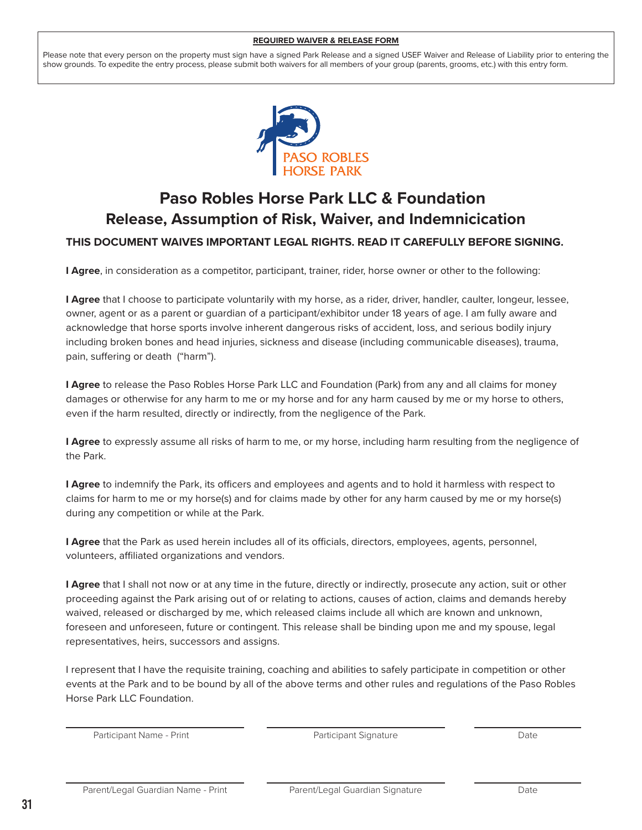## **REQUIRED WAIVER & RELEASE FORM**

Please note that every person on the property must sign have a signed Park Release and a signed USEF Waiver and Release of Liability prior to entering the show grounds. To expedite the entry process, please submit both waivers for all members of your group (parents, grooms, etc.) with this entry form.



# **Release, Assumption of Risk, Waiver, and Indemnicication Paso Robles Horse Park LLC & Foundation**

## **THIS DOCUMENT WAIVES IMPORTANT LEGAL RIGHTS. READ IT CAREFULLY BEFORE SIGNING.**

**I Agree**, in consideration as a competitor, participant, trainer, rider, horse owner or other to the following:

**I Agree** that I choose to participate voluntarily with my horse, as a rider, driver, handler, caulter, longeur, lessee, owner, agent or as a parent or guardian of a participant/exhibitor under 18 years of age. I am fully aware and acknowledge that horse sports involve inherent dangerous risks of accident, loss, and serious bodily injury including broken bones and head injuries, sickness and disease (including communicable diseases), trauma, pain, suffering or death ("harm").

**I Agree** to release the Paso Robles Horse Park LLC and Foundation (Park) from any and all claims for money damages or otherwise for any harm to me or my horse and for any harm caused by me or my horse to others, even if the harm resulted, directly or indirectly, from the negligence of the Park.

**I Agree** to expressly assume all risks of harm to me, or my horse, including harm resulting from the negligence of the Park.

**I Agree** to indemnify the Park, its officers and employees and agents and to hold it harmless with respect to claims for harm to me or my horse(s) and for claims made by other for any harm caused by me or my horse(s) during any competition or while at the Park.

**I Agree** that the Park as used herein includes all of its officials, directors, employees, agents, personnel, volunteers, affiliated organizations and vendors.

**I Agree** that I shall not now or at any time in the future, directly or indirectly, prosecute any action, suit or other proceeding against the Park arising out of or relating to actions, causes of action, claims and demands hereby waived, released or discharged by me, which released claims include all which are known and unknown, foreseen and unforeseen, future or contingent. This release shall be binding upon me and my spouse, legal representatives, heirs, successors and assigns.

I represent that I have the requisite training, coaching and abilities to safely participate in competition or other events at the Park and to be bound by all of the above terms and other rules and regulations of the Paso Robles Horse Park LLC Foundation.

Participant Name - Print **Date Communist Communist Participant Signature** Date Date

Participant Signature